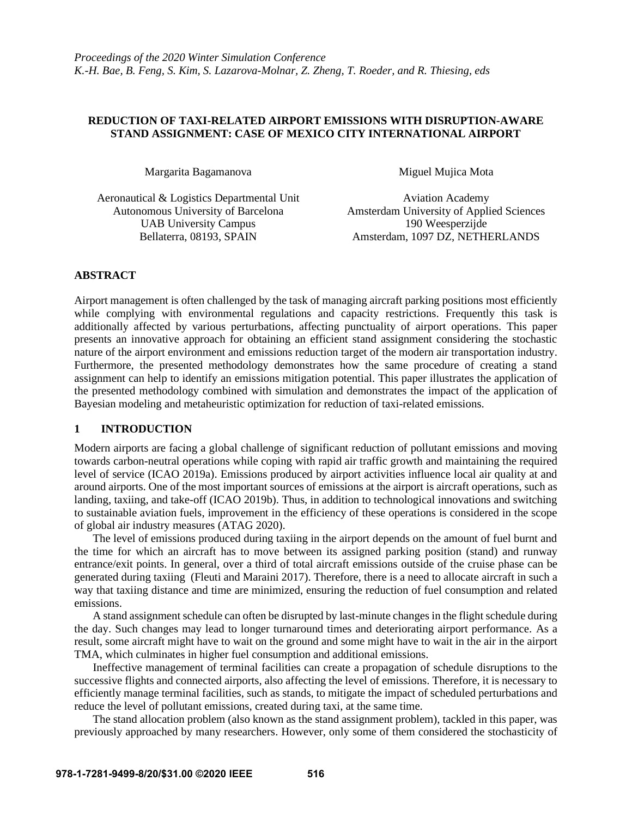# **REDUCTION OF TAXI-RELATED AIRPORT EMISSIONS WITH DISRUPTION-AWARE STAND ASSIGNMENT: CASE OF MEXICO CITY INTERNATIONAL AIRPORT**

Margarita Bagamanova Miguel Mujica Mota

Aeronautical & Logistics Departmental Unit Aviation Academy UAB University Campus 190 Weesperzijde

Autonomous University of Barcelona Amsterdam University of Applied Sciences Bellaterra, 08193, SPAIN Amsterdam, 1097 DZ, NETHERLANDS

# **ABSTRACT**

Airport management is often challenged by the task of managing aircraft parking positions most efficiently while complying with environmental regulations and capacity restrictions. Frequently this task is additionally affected by various perturbations, affecting punctuality of airport operations. This paper presents an innovative approach for obtaining an efficient stand assignment considering the stochastic nature of the airport environment and emissions reduction target of the modern air transportation industry. Furthermore, the presented methodology demonstrates how the same procedure of creating a stand assignment can help to identify an emissions mitigation potential. This paper illustrates the application of the presented methodology combined with simulation and demonstrates the impact of the application of Bayesian modeling and metaheuristic optimization for reduction of taxi-related emissions.

# **1 INTRODUCTION**

Modern airports are facing a global challenge of significant reduction of pollutant emissions and moving towards carbon-neutral operations while coping with rapid air traffic growth and maintaining the required level of service (ICAO 2019a). Emissions produced by airport activities influence local air quality at and around airports. One of the most important sources of emissions at the airport is aircraft operations, such as landing, taxiing, and take-off (ICAO 2019b). Thus, in addition to technological innovations and switching to sustainable aviation fuels, improvement in the efficiency of these operations is considered in the scope of global air industry measures (ATAG 2020).

The level of emissions produced during taxiing in the airport depends on the amount of fuel burnt and the time for which an aircraft has to move between its assigned parking position (stand) and runway entrance/exit points. In general, over a third of total aircraft emissions outside of the cruise phase can be generated during taxiing (Fleuti and Maraini 2017). Therefore, there is a need to allocate aircraft in such a way that taxiing distance and time are minimized, ensuring the reduction of fuel consumption and related emissions.

A stand assignment schedule can often be disrupted by last-minute changes in the flight schedule during the day. Such changes may lead to longer turnaround times and deteriorating airport performance. As a result, some aircraft might have to wait on the ground and some might have to wait in the air in the airport TMA, which culminates in higher fuel consumption and additional emissions.

Ineffective management of terminal facilities can create a propagation of schedule disruptions to the successive flights and connected airports, also affecting the level of emissions. Therefore, it is necessary to efficiently manage terminal facilities, such as stands, to mitigate the impact of scheduled perturbations and reduce the level of pollutant emissions, created during taxi, at the same time.

The stand allocation problem (also known as the stand assignment problem), tackled in this paper, was previously approached by many researchers. However, only some of them considered the stochasticity of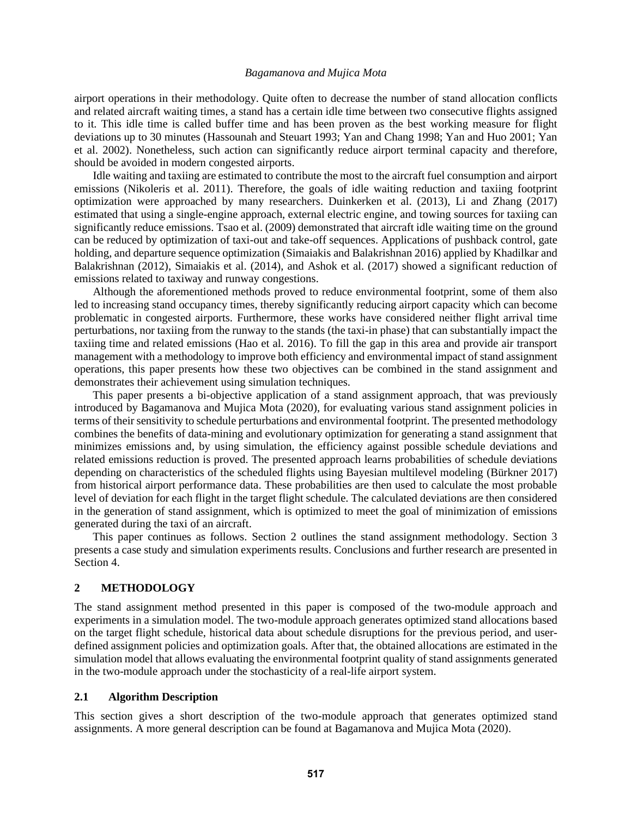airport operations in their methodology. Quite often to decrease the number of stand allocation conflicts and related aircraft waiting times, a stand has a certain idle time between two consecutive flights assigned to it. This idle time is called buffer time and has been proven as the best working measure for flight deviations up to 30 minutes (Hassounah and Steuart 1993; Yan and Chang 1998; Yan and Huo 2001; Yan et al. 2002). Nonetheless, such action can significantly reduce airport terminal capacity and therefore, should be avoided in modern congested airports.

Idle waiting and taxiing are estimated to contribute the most to the aircraft fuel consumption and airport emissions (Nikoleris et al. 2011). Therefore, the goals of idle waiting reduction and taxiing footprint optimization were approached by many researchers. Duinkerken et al. (2013), Li and Zhang (2017) estimated that using a single-engine approach, external electric engine, and towing sources for taxiing can significantly reduce emissions. Tsao et al. (2009) demonstrated that aircraft idle waiting time on the ground can be reduced by optimization of taxi-out and take-off sequences. Applications of pushback control, gate holding, and departure sequence optimization (Simaiakis and Balakrishnan 2016) applied by Khadilkar and Balakrishnan (2012), Simaiakis et al. (2014), and Ashok et al. (2017) showed a significant reduction of emissions related to taxiway and runway congestions.

Although the aforementioned methods proved to reduce environmental footprint, some of them also led to increasing stand occupancy times, thereby significantly reducing airport capacity which can become problematic in congested airports. Furthermore, these works have considered neither flight arrival time perturbations, nor taxiing from the runway to the stands (the taxi-in phase) that can substantially impact the taxiing time and related emissions (Hao et al. 2016). To fill the gap in this area and provide air transport management with a methodology to improve both efficiency and environmental impact of stand assignment operations, this paper presents how these two objectives can be combined in the stand assignment and demonstrates their achievement using simulation techniques.

This paper presents a bi-objective application of a stand assignment approach, that was previously introduced by Bagamanova and Mujica Mota (2020), for evaluating various stand assignment policies in terms of their sensitivity to schedule perturbations and environmental footprint. The presented methodology combines the benefits of data-mining and evolutionary optimization for generating a stand assignment that minimizes emissions and, by using simulation, the efficiency against possible schedule deviations and related emissions reduction is proved. The presented approach learns probabilities of schedule deviations depending on characteristics of the scheduled flights using Bayesian multilevel modeling (Bürkner 2017) from historical airport performance data. These probabilities are then used to calculate the most probable level of deviation for each flight in the target flight schedule. The calculated deviations are then considered in the generation of stand assignment, which is optimized to meet the goal of minimization of emissions generated during the taxi of an aircraft.

This paper continues as follows. Section 2 outlines the stand assignment methodology. Section 3 presents a case study and simulation experiments results. Conclusions and further research are presented in Section 4.

#### **2 METHODOLOGY**

The stand assignment method presented in this paper is composed of the two-module approach and experiments in a simulation model. The two-module approach generates optimized stand allocations based on the target flight schedule, historical data about schedule disruptions for the previous period, and userdefined assignment policies and optimization goals. After that, the obtained allocations are estimated in the simulation model that allows evaluating the environmental footprint quality of stand assignments generated in the two-module approach under the stochasticity of a real-life airport system.

#### **2.1 Algorithm Description**

This section gives a short description of the two-module approach that generates optimized stand assignments. A more general description can be found at Bagamanova and Mujica Mota (2020).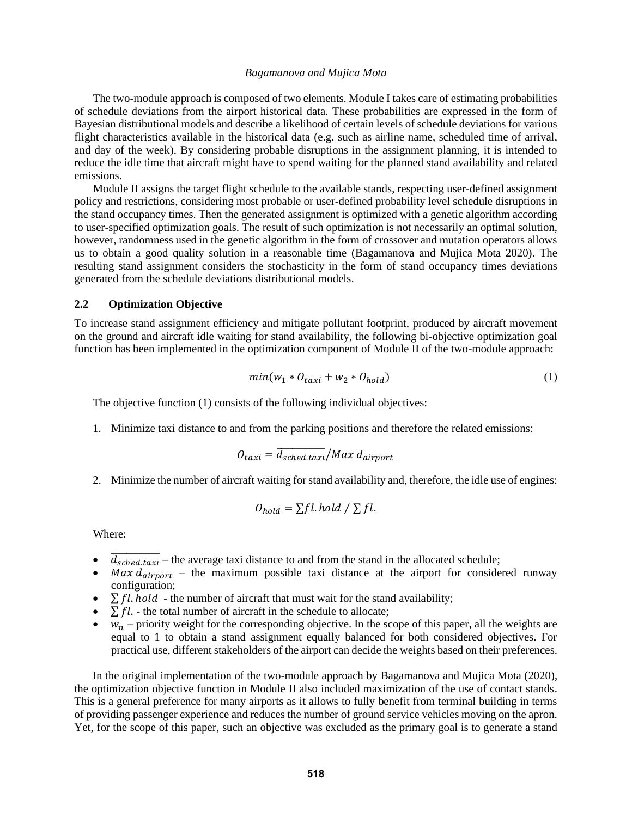The two-module approach is composed of two elements. Module I takes care of estimating probabilities of schedule deviations from the airport historical data. These probabilities are expressed in the form of Bayesian distributional models and describe a likelihood of certain levels of schedule deviations for various flight characteristics available in the historical data (e.g. such as airline name, scheduled time of arrival, and day of the week). By considering probable disruptions in the assignment planning, it is intended to reduce the idle time that aircraft might have to spend waiting for the planned stand availability and related emissions.

Module II assigns the target flight schedule to the available stands, respecting user-defined assignment policy and restrictions, considering most probable or user-defined probability level schedule disruptions in the stand occupancy times. Then the generated assignment is optimized with a genetic algorithm according to user-specified optimization goals. The result of such optimization is not necessarily an optimal solution, however, randomness used in the genetic algorithm in the form of crossover and mutation operators allows us to obtain a good quality solution in a reasonable time (Bagamanova and Mujica Mota 2020). The resulting stand assignment considers the stochasticity in the form of stand occupancy times deviations generated from the schedule deviations distributional models.

### **2.2 Optimization Objective**

To increase stand assignment efficiency and mitigate pollutant footprint, produced by aircraft movement on the ground and aircraft idle waiting for stand availability, the following bi-objective optimization goal function has been implemented in the optimization component of Module II of the two-module approach:

$$
min(w_1 * O_{taxi} + w_2 * O_{hold})
$$
\n(1)

The objective function (1) consists of the following individual objectives:

1. Minimize taxi distance to and from the parking positions and therefore the related emissions:

$$
O_{taxi} = \overline{d_{sched.taxi}} / Max \, d_{airport}
$$

2. Minimize the number of aircraft waiting for stand availability and, therefore, the idle use of engines:

$$
O_{hold} = \sum fl. hold / \sum fl.
$$

Where:

- $\overline{d_{\text{sched.taxi}}}$  the average taxi distance to and from the stand in the allocated schedule;
- Max  $d_{airport}$  the maximum possible taxi distance at the airport for considered runway configuration;
- $\sum f \cdot l \cdot h \cdot o \cdot l$  the number of aircraft that must wait for the stand availability;
- $\sum f l$ . the total number of aircraft in the schedule to allocate;
- $w_n$  priority weight for the corresponding objective. In the scope of this paper, all the weights are equal to 1 to obtain a stand assignment equally balanced for both considered objectives. For practical use, different stakeholders of the airport can decide the weights based on their preferences.

In the original implementation of the two-module approach by Bagamanova and Mujica Mota (2020), the optimization objective function in Module II also included maximization of the use of contact stands. This is a general preference for many airports as it allows to fully benefit from terminal building in terms of providing passenger experience and reduces the number of ground service vehicles moving on the apron. Yet, for the scope of this paper, such an objective was excluded as the primary goal is to generate a stand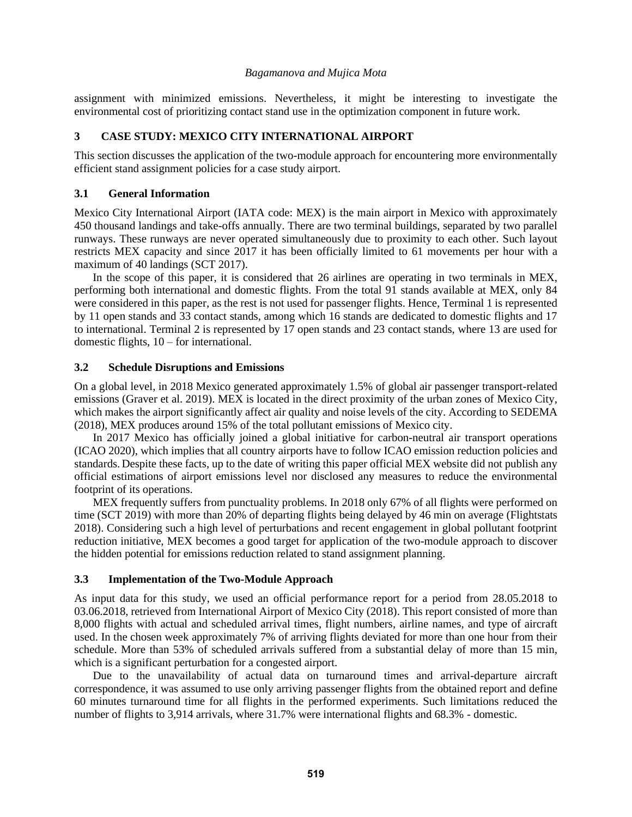assignment with minimized emissions. Nevertheless, it might be interesting to investigate the environmental cost of prioritizing contact stand use in the optimization component in future work.

# **3 CASE STUDY: MEXICO CITY INTERNATIONAL AIRPORT**

This section discusses the application of the two-module approach for encountering more environmentally efficient stand assignment policies for a case study airport.

## **3.1 General Information**

Mexico City International Airport (IATA code: MEX) is the main airport in Mexico with approximately 450 thousand landings and take-offs annually. There are two terminal buildings, separated by two parallel runways. These runways are never operated simultaneously due to proximity to each other. Such layout restricts MEX capacity and since 2017 it has been officially limited to 61 movements per hour with a maximum of 40 landings (SCT 2017).

In the scope of this paper, it is considered that 26 airlines are operating in two terminals in MEX, performing both international and domestic flights. From the total 91 stands available at MEX, only 84 were considered in this paper, as the rest is not used for passenger flights. Hence, Terminal 1 is represented by 11 open stands and 33 contact stands, among which 16 stands are dedicated to domestic flights and 17 to international. Terminal 2 is represented by 17 open stands and 23 contact stands, where 13 are used for domestic flights, 10 – for international.

### **3.2 Schedule Disruptions and Emissions**

On a global level, in 2018 Mexico generated approximately 1.5% of global air passenger transport-related emissions (Graver et al. 2019). MEX is located in the direct proximity of the urban zones of Mexico City, which makes the airport significantly affect air quality and noise levels of the city. According to SEDEMA (2018), MEX produces around 15% of the total pollutant emissions of Mexico city.

In 2017 Mexico has officially joined a global initiative for carbon-neutral air transport operations (ICAO 2020), which implies that all country airports have to follow ICAO emission reduction policies and standards. Despite these facts, up to the date of writing this paper official MEX website did not publish any official estimations of airport emissions level nor disclosed any measures to reduce the environmental footprint of its operations.

MEX frequently suffers from punctuality problems. In 2018 only 67% of all flights were performed on time (SCT 2019) with more than 20% of departing flights being delayed by 46 min on average (Flightstats 2018). Considering such a high level of perturbations and recent engagement in global pollutant footprint reduction initiative, MEX becomes a good target for application of the two-module approach to discover the hidden potential for emissions reduction related to stand assignment planning.

## <span id="page-3-0"></span>**3.3 Implementation of the Two-Module Approach**

As input data for this study, we used an official performance report for a period from 28.05.2018 to 03.06.2018, retrieved from International Airport of Mexico City (2018). This report consisted of more than 8,000 flights with actual and scheduled arrival times, flight numbers, airline names, and type of aircraft used. In the chosen week approximately 7% of arriving flights deviated for more than one hour from their schedule. More than 53% of scheduled arrivals suffered from a substantial delay of more than 15 min, which is a significant perturbation for a congested airport.

Due to the unavailability of actual data on turnaround times and arrival-departure aircraft correspondence, it was assumed to use only arriving passenger flights from the obtained report and define 60 minutes turnaround time for all flights in the performed experiments. Such limitations reduced the number of flights to 3,914 arrivals, where 31.7% were international flights and 68.3% - domestic.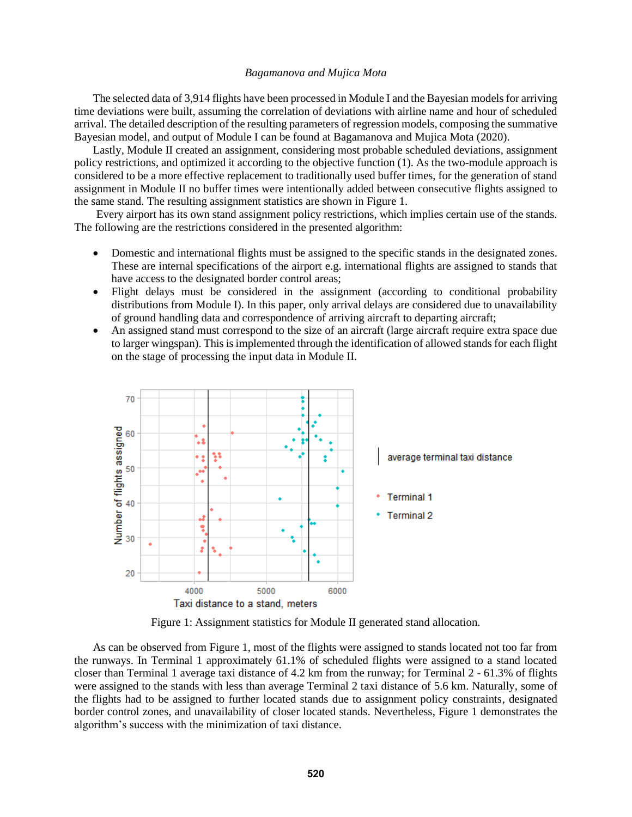The selected data of 3,914 flights have been processed in Module I and the Bayesian modelsfor arriving time deviations were built, assuming the correlation of deviations with airline name and hour of scheduled arrival. The detailed description of the resulting parameters of regression models, composing the summative Bayesian model, and output of Module I can be found at Bagamanova and Mujica Mota (2020).

Lastly, Module II created an assignment, considering most probable scheduled deviations, assignment policy restrictions, and optimized it according to the objective function (1). As the two-module approach is considered to be a more effective replacement to traditionally used buffer times, for the generation of stand assignment in Module II no buffer times were intentionally added between consecutive flights assigned to the same stand. The resulting assignment statistics are shown in [Figure 1.](#page-4-0)

Every airport has its own stand assignment policy restrictions, which implies certain use of the stands. The following are the restrictions considered in the presented algorithm:

- Domestic and international flights must be assigned to the specific stands in the designated zones. These are internal specifications of the airport e.g. international flights are assigned to stands that have access to the designated border control areas;
- Flight delays must be considered in the assignment (according to conditional probability distributions from Module I). In this paper, only arrival delays are considered due to unavailability of ground handling data and correspondence of arriving aircraft to departing aircraft;
- An assigned stand must correspond to the size of an aircraft (large aircraft require extra space due to larger wingspan). This is implemented through the identification of allowed stands for each flight on the stage of processing the input data in Module II.



Figure 1: Assignment statistics for Module II generated stand allocation.

<span id="page-4-0"></span>As can be observed from [Figure 1,](#page-4-0) most of the flights were assigned to stands located not too far from the runways. In Terminal 1 approximately 61.1% of scheduled flights were assigned to a stand located closer than Terminal 1 average taxi distance of 4.2 km from the runway; for Terminal 2 - 61.3% of flights were assigned to the stands with less than average Terminal 2 taxi distance of 5.6 km. Naturally, some of the flights had to be assigned to further located stands due to assignment policy constraints, designated border control zones, and unavailability of closer located stands. Nevertheless, [Figure 1](#page-4-0) demonstrates the algorithm's success with the minimization of taxi distance.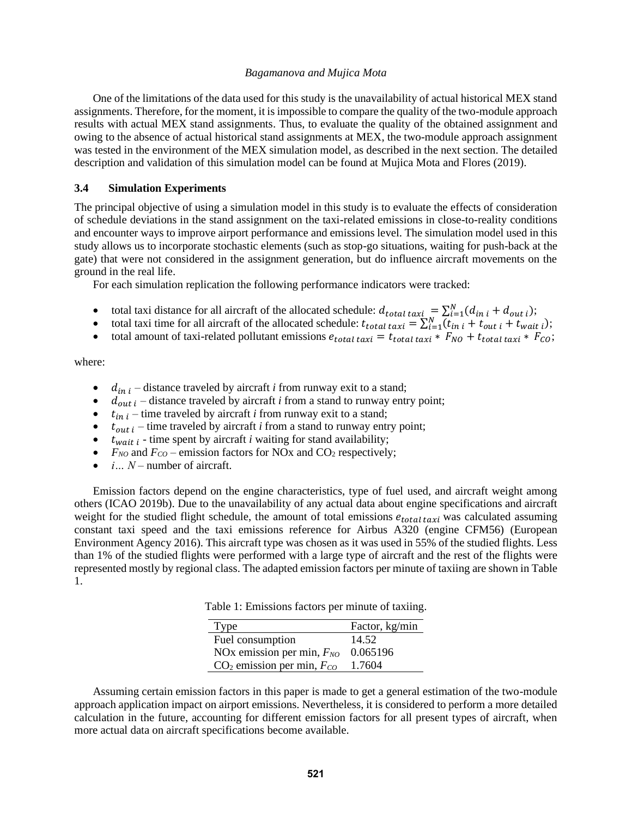One of the limitations of the data used for this study is the unavailability of actual historical MEX stand assignments. Therefore, for the moment, it is impossible to compare the quality of the two-module approach results with actual MEX stand assignments. Thus, to evaluate the quality of the obtained assignment and owing to the absence of actual historical stand assignments at MEX, the two-module approach assignment was tested in the environment of the MEX simulation model, as described in the next section. The detailed description and validation of this simulation model can be found at Mujica Mota and Flores (2019).

### **3.4 Simulation Experiments**

The principal objective of using a simulation model in this study is to evaluate the effects of consideration of schedule deviations in the stand assignment on the taxi-related emissions in close-to-reality conditions and encounter ways to improve airport performance and emissions level. The simulation model used in this study allows us to incorporate stochastic elements (such as stop-go situations, waiting for push-back at the gate) that were not considered in the assignment generation, but do influence aircraft movements on the ground in the real life.

For each simulation replication the following performance indicators were tracked:

- total taxi distance for all aircraft of the allocated schedule:  $d_{total\, taxi} = \sum_{i=1}^{N} (d_{in\,i} + d_{out\,i});$
- total taxi time for all aircraft of the allocated schedule:  $t_{total\, taxi} = \sum_{i=1}^{N} (t_{ini} + t_{out\, i} + t_{wait, i});$
- total amount of taxi-related pollutant emissions  $e_{total\, taxi} = t_{total\, taxi} * F_{NO} + t_{total\, taxi} * F_{CO};$

where:

- $\bullet$   $d_{in i}$  distance traveled by aircraft *i* from runway exit to a stand;
- $d_{out i}$  distance traveled by aircraft *i* from a stand to runway entry point;
- $\bullet$   $t_{in i}$  time traveled by aircraft *i* from runway exit to a stand;
- $\bullet$   $t_{out i}$  time traveled by aircraft *i* from a stand to runway entry point;
- $\bullet$   $t_{wait i}$  time spent by aircraft *i* waiting for stand availability;
- $F_{NO}$  and  $F_{CO}$  emission factors for NOx and CO<sub>2</sub> respectively;
- *i*... *N* number of aircraft.

Emission factors depend on the engine characteristics, type of fuel used, and aircraft weight among others (ICAO 2019b). Due to the unavailability of any actual data about engine specifications and aircraft weight for the studied flight schedule, the amount of total emissions  $e_{total\, taxi}$  was calculated assuming constant taxi speed and the taxi emissions reference for Airbus A320 (engine CFM56) (European Environment Agency 2016). This aircraft type was chosen as it was used in 55% of the studied flights. Less than 1% of the studied flights were performed with a large type of aircraft and the rest of the flights were represented mostly by regional class. The adapted emission factors per minute of taxiing are shown in [Table](#page-5-0)  [1.](#page-5-0)

Table 1: Emissions factors per minute of taxiing.

| Type                           | Factor, kg/min |
|--------------------------------|----------------|
| Fuel consumption               | 14.52          |
| NOx emission per min, $F_{NO}$ | 0.065196       |
| $CO2$ emission per min, $FCO$  | 1.7604         |

<span id="page-5-0"></span>Assuming certain emission factors in this paper is made to get a general estimation of the two-module approach application impact on airport emissions. Nevertheless, it is considered to perform a more detailed calculation in the future, accounting for different emission factors for all present types of aircraft, when more actual data on aircraft specifications become available.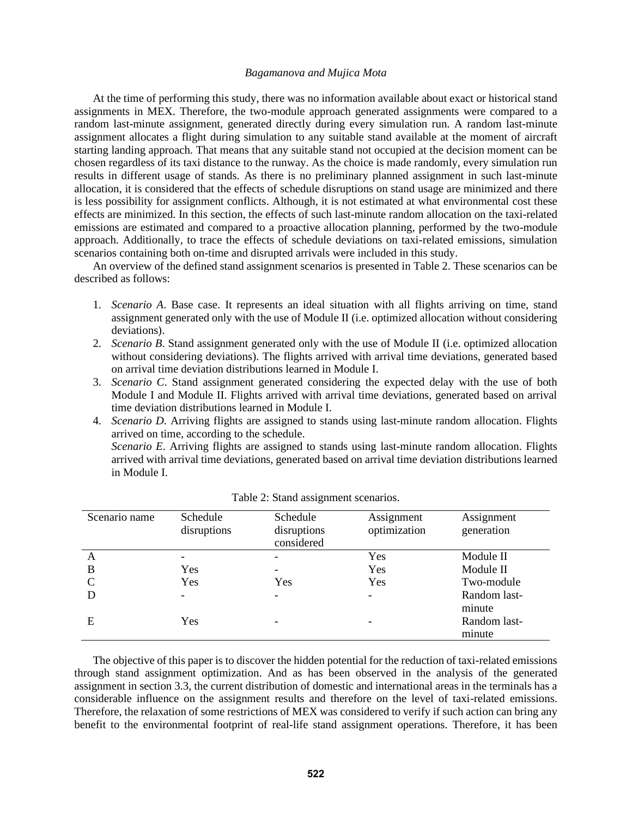At the time of performing this study, there was no information available about exact or historical stand assignments in MEX. Therefore, the two-module approach generated assignments were compared to a random last-minute assignment, generated directly during every simulation run. A random last-minute assignment allocates a flight during simulation to any suitable stand available at the moment of aircraft starting landing approach. That means that any suitable stand not occupied at the decision moment can be chosen regardless of its taxi distance to the runway. As the choice is made randomly, every simulation run results in different usage of stands. As there is no preliminary planned assignment in such last-minute allocation, it is considered that the effects of schedule disruptions on stand usage are minimized and there is less possibility for assignment conflicts. Although, it is not estimated at what environmental cost these effects are minimized. In this section, the effects of such last-minute random allocation on the taxi-related emissions are estimated and compared to a proactive allocation planning, performed by the two-module approach. Additionally, to trace the effects of schedule deviations on taxi-related emissions, simulation scenarios containing both on-time and disrupted arrivals were included in this study.

An overview of the defined stand assignment scenarios is presented i[n Table 2.](#page-6-0) These scenarios can be described as follows:

- 1. *Scenario A*. Base case. It represents an ideal situation with all flights arriving on time, stand assignment generated only with the use of Module II (i.e. optimized allocation without considering deviations).
- 2. *Scenario B*. Stand assignment generated only with the use of Module II (i.e. optimized allocation without considering deviations). The flights arrived with arrival time deviations, generated based on arrival time deviation distributions learned in Module I.
- 3. *Scenario C*. Stand assignment generated considering the expected delay with the use of both Module I and Module II. Flights arrived with arrival time deviations, generated based on arrival time deviation distributions learned in Module I.
- 4. *Scenario D*. Arriving flights are assigned to stands using last-minute random allocation. Flights arrived on time, according to the schedule.

*Scenario E*. Arriving flights are assigned to stands using last-minute random allocation. Flights arrived with arrival time deviations, generated based on arrival time deviation distributions learned in Module I.

<span id="page-6-0"></span>

| Scenario name | Schedule<br>disruptions | Schedule<br>disruptions<br>considered | Assignment<br>optimization | Assignment<br>generation |
|---------------|-------------------------|---------------------------------------|----------------------------|--------------------------|
| А             |                         |                                       | Yes                        | Module II                |
| B             | Yes                     |                                       | Yes                        | Module II                |
| C             | Yes                     | Yes                                   | Yes                        | Two-module               |
|               | -                       |                                       |                            | Random last-<br>minute   |
| Е             | Yes                     |                                       |                            | Random last-<br>minute   |

|  | Table 2: Stand assignment scenarios. |  |
|--|--------------------------------------|--|
|  |                                      |  |

The objective of this paper is to discover the hidden potential for the reduction of taxi-related emissions through stand assignment optimization. And as has been observed in the analysis of the generated assignment in section [3.3,](#page-3-0) the current distribution of domestic and international areas in the terminals has a considerable influence on the assignment results and therefore on the level of taxi-related emissions. Therefore, the relaxation of some restrictions of MEX was considered to verify if such action can bring any benefit to the environmental footprint of real-life stand assignment operations. Therefore, it has been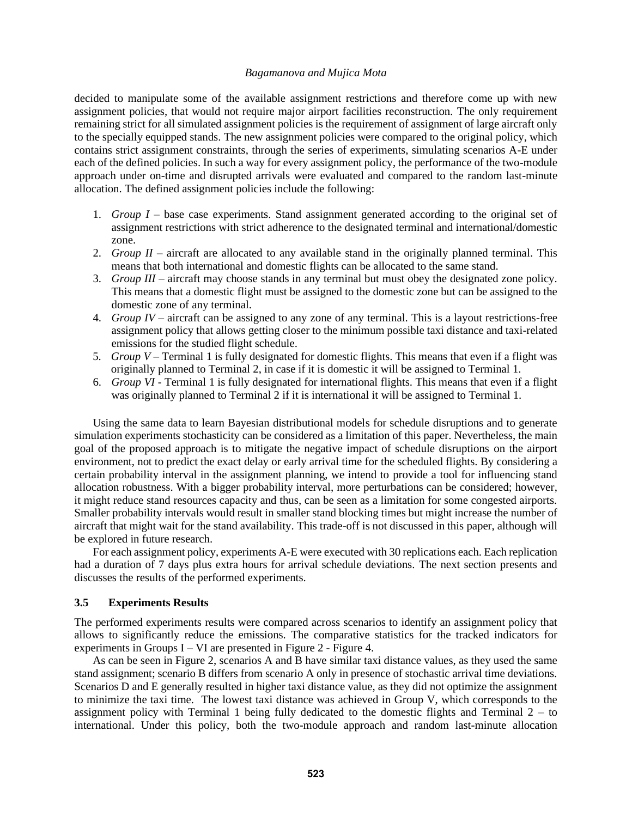decided to manipulate some of the available assignment restrictions and therefore come up with new assignment policies, that would not require major airport facilities reconstruction. The only requirement remaining strict for all simulated assignment policies is the requirement of assignment of large aircraft only to the specially equipped stands. The new assignment policies were compared to the original policy, which contains strict assignment constraints, through the series of experiments, simulating scenarios A-E under each of the defined policies. In such a way for every assignment policy, the performance of the two-module approach under on-time and disrupted arrivals were evaluated and compared to the random last-minute allocation. The defined assignment policies include the following:

- 1. *Group I* base case experiments. Stand assignment generated according to the original set of assignment restrictions with strict adherence to the designated terminal and international/domestic zone.
- 2. *Group II* aircraft are allocated to any available stand in the originally planned terminal. This means that both international and domestic flights can be allocated to the same stand.
- 3. *Group III*  aircraft may choose stands in any terminal but must obey the designated zone policy. This means that a domestic flight must be assigned to the domestic zone but can be assigned to the domestic zone of any terminal.
- 4. *Group IV* aircraft can be assigned to any zone of any terminal. This is a layout restrictions-free assignment policy that allows getting closer to the minimum possible taxi distance and taxi-related emissions for the studied flight schedule.
- 5. *Group V* Terminal 1 is fully designated for domestic flights. This means that even if a flight was originally planned to Terminal 2, in case if it is domestic it will be assigned to Terminal 1.
- 6. *Group VI* Terminal 1 is fully designated for international flights. This means that even if a flight was originally planned to Terminal 2 if it is international it will be assigned to Terminal 1.

Using the same data to learn Bayesian distributional models for schedule disruptions and to generate simulation experiments stochasticity can be considered as a limitation of this paper. Nevertheless, the main goal of the proposed approach is to mitigate the negative impact of schedule disruptions on the airport environment, not to predict the exact delay or early arrival time for the scheduled flights. By considering a certain probability interval in the assignment planning, we intend to provide a tool for influencing stand allocation robustness. With a bigger probability interval, more perturbations can be considered; however, it might reduce stand resources capacity and thus, can be seen as a limitation for some congested airports. Smaller probability intervals would result in smaller stand blocking times but might increase the number of aircraft that might wait for the stand availability. This trade-off is not discussed in this paper, although will be explored in future research.

For each assignment policy, experiments A-E were executed with 30 replications each. Each replication had a duration of 7 days plus extra hours for arrival schedule deviations. The next section presents and discusses the results of the performed experiments.

### **3.5 Experiments Results**

The performed experiments results were compared across scenarios to identify an assignment policy that allows to significantly reduce the emissions. The comparative statistics for the tracked indicators for experiments in Groups  $I - VI$  are presented in [Figure 2](#page-8-0) - [Figure](#page-9-0) 4.

As can be seen in [Figure 2,](#page-8-0) scenarios A and B have similar taxi distance values, as they used the same stand assignment; scenario B differs from scenario A only in presence of stochastic arrival time deviations. Scenarios D and E generally resulted in higher taxi distance value, as they did not optimize the assignment to minimize the taxi time. The lowest taxi distance was achieved in Group V, which corresponds to the assignment policy with Terminal 1 being fully dedicated to the domestic flights and Terminal 2 – to international. Under this policy, both the two-module approach and random last-minute allocation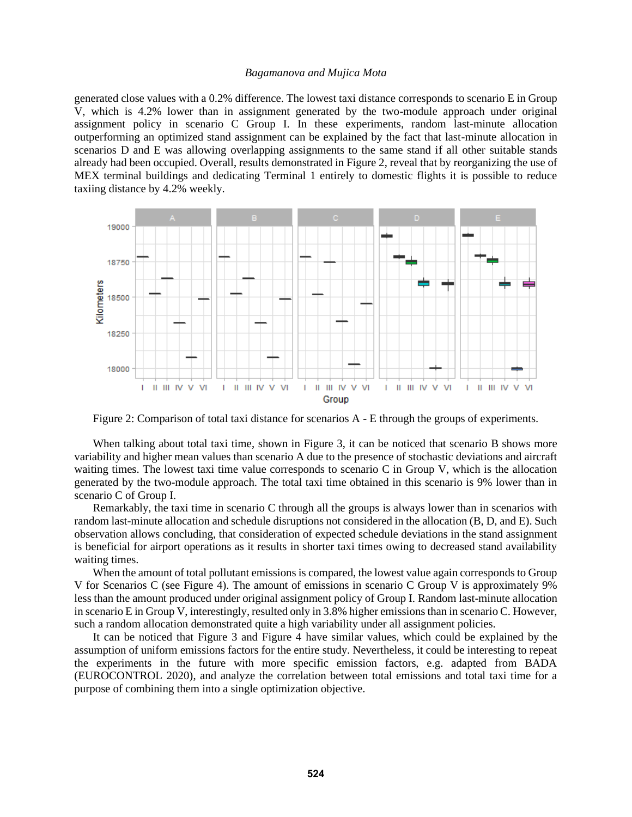generated close values with a 0.2% difference. The lowest taxi distance corresponds to scenario E in Group V, which is 4.2% lower than in assignment generated by the two-module approach under original assignment policy in scenario C Group I. In these experiments, random last-minute allocation outperforming an optimized stand assignment can be explained by the fact that last-minute allocation in scenarios D and E was allowing overlapping assignments to the same stand if all other suitable stands already had been occupied. Overall, results demonstrated in Figure 2, reveal that by reorganizing the use of MEX terminal buildings and dedicating Terminal 1 entirely to domestic flights it is possible to reduce taxiing distance by 4.2% weekly.



<span id="page-8-0"></span>Figure 2: Comparison of total taxi distance for scenarios A - E through the groups of experiments.

When talking about total taxi time, shown in [Figure 3,](#page-9-1) it can be noticed that scenario B shows more variability and higher mean values than scenario A due to the presence of stochastic deviations and aircraft waiting times. The lowest taxi time value corresponds to scenario C in Group V, which is the allocation generated by the two-module approach. The total taxi time obtained in this scenario is 9% lower than in scenario C of Group I.

Remarkably, the taxi time in scenario C through all the groups is always lower than in scenarios with random last-minute allocation and schedule disruptions not considered in the allocation (B, D, and E). Such observation allows concluding, that consideration of expected schedule deviations in the stand assignment is beneficial for airport operations as it results in shorter taxi times owing to decreased stand availability waiting times.

When the amount of total pollutant emissions is compared, the lowest value again corresponds to Group V for Scenarios C (see [Figure 4\)](#page-9-0). The amount of emissions in scenario C Group V is approximately 9% less than the amount produced under original assignment policy of Group I. Random last-minute allocation in scenario E in Group V, interestingly, resulted only in 3.8% higher emissions than in scenario C. However, such a random allocation demonstrated quite a high variability under all assignment policies.

It can be noticed that Figure 3 and Figure 4 have similar values, which could be explained by the assumption of uniform emissions factors for the entire study. Nevertheless, it could be interesting to repeat the experiments in the future with more specific emission factors, e.g. adapted from BADA (EUROCONTROL 2020), and analyze the correlation between total emissions and total taxi time for a purpose of combining them into a single optimization objective.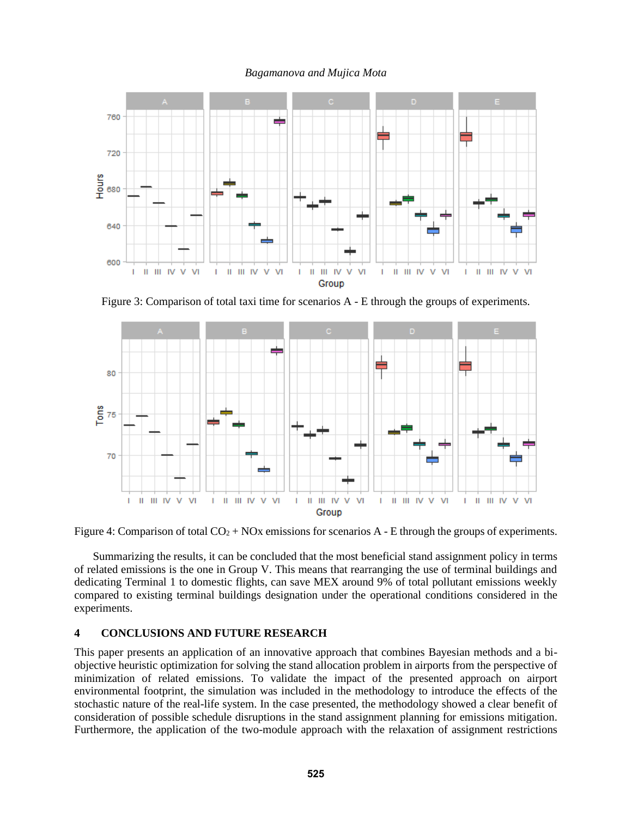

<span id="page-9-1"></span>Figure 3: Comparison of total taxi time for scenarios A - E through the groups of experiments.



<span id="page-9-0"></span>Figure 4: Comparison of total  $CO<sub>2</sub> + NOx$  emissions for scenarios A - E through the groups of experiments.

Summarizing the results, it can be concluded that the most beneficial stand assignment policy in terms of related emissions is the one in Group V. This means that rearranging the use of terminal buildings and dedicating Terminal 1 to domestic flights, can save MEX around 9% of total pollutant emissions weekly compared to existing terminal buildings designation under the operational conditions considered in the experiments.

## **4 CONCLUSIONS AND FUTURE RESEARCH**

This paper presents an application of an innovative approach that combines Bayesian methods and a biobjective heuristic optimization for solving the stand allocation problem in airports from the perspective of minimization of related emissions. To validate the impact of the presented approach on airport environmental footprint, the simulation was included in the methodology to introduce the effects of the stochastic nature of the real-life system. In the case presented, the methodology showed a clear benefit of consideration of possible schedule disruptions in the stand assignment planning for emissions mitigation. Furthermore, the application of the two-module approach with the relaxation of assignment restrictions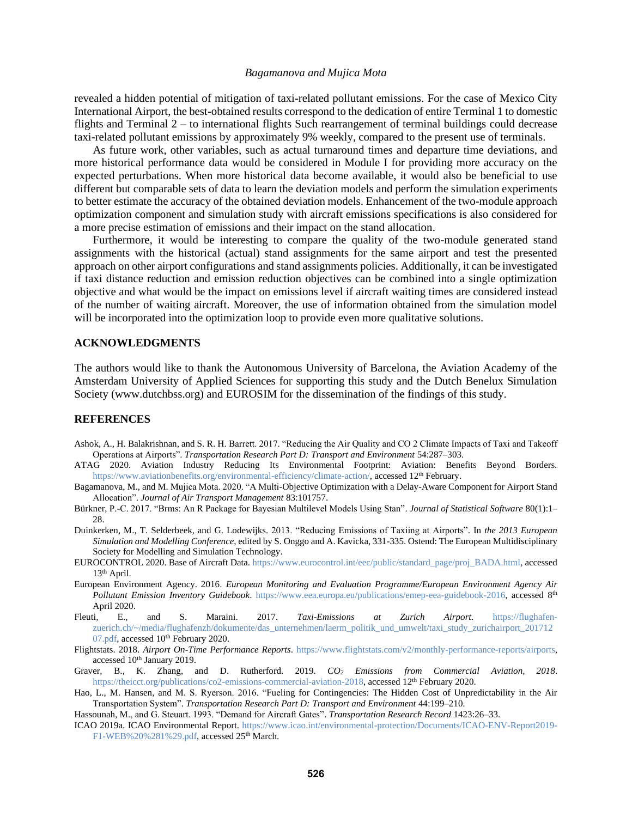revealed a hidden potential of mitigation of taxi-related pollutant emissions. For the case of Mexico City International Airport, the best-obtained results correspond to the dedication of entire Terminal 1 to domestic flights and Terminal 2 – to international flights Such rearrangement of terminal buildings could decrease taxi-related pollutant emissions by approximately 9% weekly, compared to the present use of terminals.

As future work, other variables, such as actual turnaround times and departure time deviations, and more historical performance data would be considered in Module I for providing more accuracy on the expected perturbations. When more historical data become available, it would also be beneficial to use different but comparable sets of data to learn the deviation models and perform the simulation experiments to better estimate the accuracy of the obtained deviation models. Enhancement of the two-module approach optimization component and simulation study with aircraft emissions specifications is also considered for a more precise estimation of emissions and their impact on the stand allocation.

Furthermore, it would be interesting to compare the quality of the two-module generated stand assignments with the historical (actual) stand assignments for the same airport and test the presented approach on other airport configurations and stand assignments policies. Additionally, it can be investigated if taxi distance reduction and emission reduction objectives can be combined into a single optimization objective and what would be the impact on emissions level if aircraft waiting times are considered instead of the number of waiting aircraft. Moreover, the use of information obtained from the simulation model will be incorporated into the optimization loop to provide even more qualitative solutions.

### **ACKNOWLEDGMENTS**

The authors would like to thank the Autonomous University of Barcelona, the Aviation Academy of the Amsterdam University of Applied Sciences for supporting this study and the Dutch Benelux Simulation Society (www.dutchbss.org) and EUROSIM for the dissemination of the findings of this study.

#### **REFERENCES**

- Ashok, A., H. Balakrishnan, and S. R. H. Barrett. 2017. "Reducing the Air Quality and CO 2 Climate Impacts of Taxi and Takeoff Operations at Airports". *Transportation Research Part D: Transport and Environment* 54:287–303.
- ATAG 2020. Aviation Industry Reducing Its Environmental Footprint: Aviation: Benefits Beyond Borders. [https://www.aviationbenefits.org/environmental-efficiency/climate-action/,](https://www.aviationbenefits.org/environmental-efficiency/climate-action/) accessed 12<sup>th</sup> February.
- Bagamanova, M., and M. Mujica Mota. 2020. "A Multi-Objective Optimization with a Delay-Aware Component for Airport Stand Allocation". *Journal of Air Transport Management* 83:101757.
- Bürkner, P.-C. 2017. "Brms: An R Package for Bayesian Multilevel Models Using Stan". *Journal of Statistical Software* 80(1):1– 28.
- Duinkerken, M., T. Selderbeek, and G. Lodewijks. 2013. "Reducing Emissions of Taxiing at Airports". In *the 2013 European Simulation and Modelling Conference*, edited by S. Onggo and A. Kavicka, 331-335. Ostend: The European Multidisciplinary Society for Modelling and Simulation Technology.
- EUROCONTROL 2020. Base of Aircraft Data[. https://www.eurocontrol.int/eec/public/standard\\_page/proj\\_BADA.html,](https://www.eurocontrol.int/eec/public/standard_page/proj_BADA.html) accessed 13th April.
- European Environment Agency. 2016. *European Monitoring and Evaluation Programme/European Environment Agency Air Pollutant Emission Inventory Guidebook*. [https://www.eea.europa.eu/publications/emep-eea-guidebook-2016,](https://www.eea.europa.eu/publications/emep-eea-guidebook-2016) accessed 8th April 2020.
- Fleuti, E., and S. Maraini. 2017. *Taxi-Emissions at Zurich Airport*. [https://flughafen](https://flughafen-zuerich.ch/~/media/flughafenzh/dokumente/das_unternehmen/laerm_politik_und_umwelt/taxi_study_zurichairport_20171207.pdf)[zuerich.ch/~/media/flughafenzh/dokumente/das\\_unternehmen/laerm\\_politik\\_und\\_umwelt/taxi\\_study\\_zurichairport\\_201712](https://flughafen-zuerich.ch/~/media/flughafenzh/dokumente/das_unternehmen/laerm_politik_und_umwelt/taxi_study_zurichairport_20171207.pdf) [07.pdf,](https://flughafen-zuerich.ch/~/media/flughafenzh/dokumente/das_unternehmen/laerm_politik_und_umwelt/taxi_study_zurichairport_20171207.pdf) accessed 10<sup>th</sup> February 2020.
- Flightstats. 2018. *Airport On-Time Performance Reports*. [https://www.flightstats.com/v2/monthly-performance-reports/airports,](https://www.flightstats.com/v2/monthly-performance-reports/airports) accessed 10<sup>th</sup> January 2019.
- Graver, B., K. Zhang, and D. Rutherford. 2019. *CO<sup>2</sup> Emissions from Commercial Aviation, 2018*. [https://theicct.org/publications/co2-emissions-commercial-aviation-2018,](https://theicct.org/publications/co2-emissions-commercial-aviation-2018) accessed 12th February 2020.
- Hao, L., M. Hansen, and M. S. Ryerson. 2016. "Fueling for Contingencies: The Hidden Cost of Unpredictability in the Air Transportation System". *Transportation Research Part D: Transport and Environment* 44:199–210.
- Hassounah, M., and G. Steuart. 1993. "Demand for Aircraft Gates". *Transportation Research Record* 1423:26–33.
- ICAO 2019a. ICAO Environmental Report. [https://www.icao.int/environmental-protection/Documents/ICAO-ENV-Report2019-](https://www.icao.int/environmental-protection/Documents/ICAO-ENV-Report2019-F1-WEB%20%281%29.pdf) [F1-WEB%20%281%29.pdf,](https://www.icao.int/environmental-protection/Documents/ICAO-ENV-Report2019-F1-WEB%20%281%29.pdf) accessed 25<sup>th</sup> March.